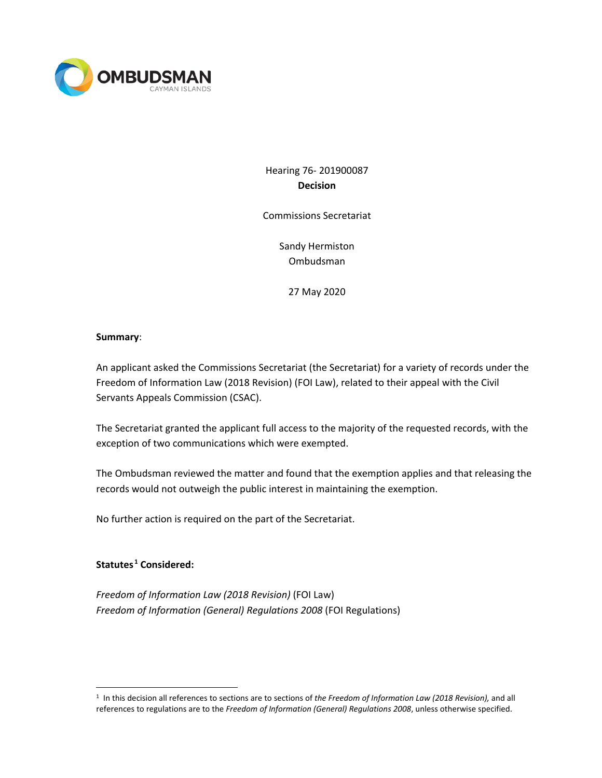

Hearing 76- 201900087 **Decision**

Commissions Secretariat

Sandy Hermiston Ombudsman

27 May 2020

### **Summary**:

An applicant asked the Commissions Secretariat (the Secretariat) for a variety of records under the Freedom of Information Law (2018 Revision) (FOI Law), related to their appeal with the Civil Servants Appeals Commission (CSAC).

The Secretariat granted the applicant full access to the majority of the requested records, with the exception of two communications which were exempted.

The Ombudsman reviewed the matter and found that the exemption applies and that releasing the records would not outweigh the public interest in maintaining the exemption.

No further action is required on the part of the Secretariat.

# **Statutes [1](#page-0-0) Considered:**

*Freedom of Information Law (2018 Revision)* (FOI Law) *Freedom of Information (General) Regulations 2008* (FOI Regulations)

<span id="page-0-0"></span><sup>1</sup> In this decision all references to sections are to sections of *the Freedom of Information Law (2018 Revision),* and all references to regulations are to the *Freedom of Information (General) Regulations 2008*, unless otherwise specified.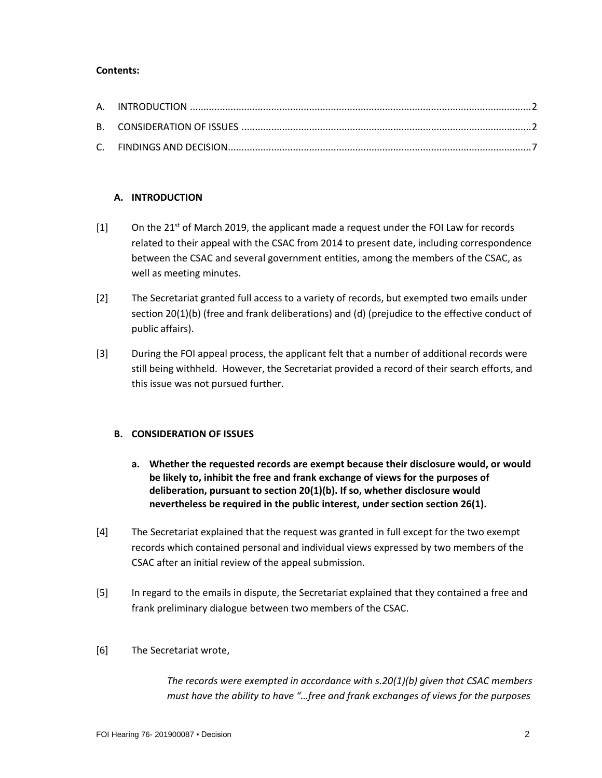### **Contents:**

## **A. INTRODUCTION**

- $[1]$  On the 21<sup>st</sup> of March 2019, the applicant made a request under the FOI Law for records related to their appeal with the CSAC from 2014 to present date, including correspondence between the CSAC and several government entities, among the members of the CSAC, as well as meeting minutes.
- [2] The Secretariat granted full access to a variety of records, but exempted two emails under section 20(1)(b) (free and frank deliberations) and (d) (prejudice to the effective conduct of public affairs).
- [3] During the FOI appeal process, the applicant felt that a number of additional records were still being withheld. However, the Secretariat provided a record of their search efforts, and this issue was not pursued further.

### **B. CONSIDERATION OF ISSUES**

- **a. Whether the requested records are exempt because their disclosure would, or would be likely to, inhibit the free and frank exchange of views for the purposes of deliberation, pursuant to section 20(1)(b). If so, whether disclosure would nevertheless be required in the public interest, under section section 26(1).**
- [4] The Secretariat explained that the request was granted in full except for the two exempt records which contained personal and individual views expressed by two members of the CSAC after an initial review of the appeal submission.
- [5] In regard to the emails in dispute, the Secretariat explained that they contained a free and frank preliminary dialogue between two members of the CSAC.

### [6] The Secretariat wrote,

*The records were exempted in accordance with s.20(1)(b) given that CSAC members must have the ability to have "…free and frank exchanges of views for the purposes*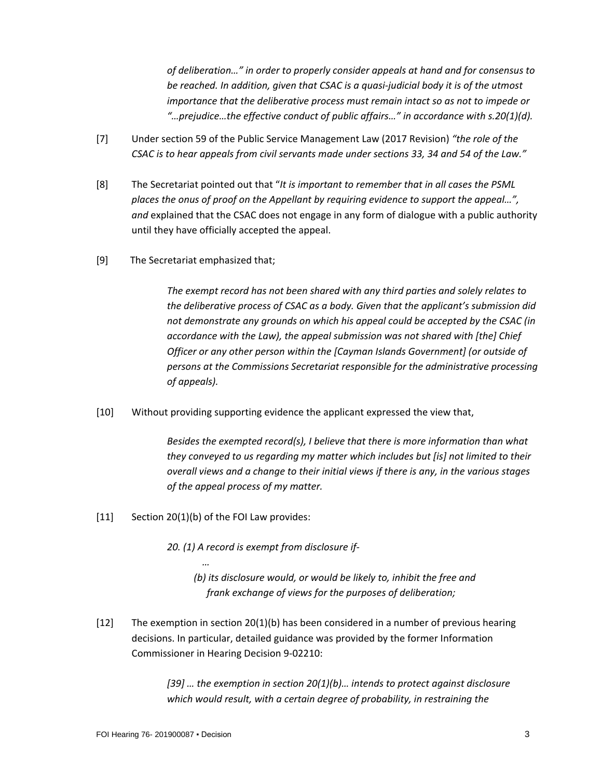*of deliberation…" in order to properly consider appeals at hand and for consensus to be reached. In addition, given that CSAC is a quasi-judicial body it is of the utmost importance that the deliberative process must remain intact so as not to impede or "…prejudice…the effective conduct of public affairs…" in accordance with s.20(1)(d).*

- [7] Under section 59 of the Public Service Management Law (2017 Revision) *"the role of the CSAC is to hear appeals from civil servants made under sections 33, 34 and 54 of the Law."*
- [8] The Secretariat pointed out that "*It is important to remember that in all cases the PSML places the onus of proof on the Appellant by requiring evidence to support the appeal…", and* explained that the CSAC does not engage in any form of dialogue with a public authority until they have officially accepted the appeal.
- [9] The Secretariat emphasized that;

*The exempt record has not been shared with any third parties and solely relates to the deliberative process of CSAC as a body. Given that the applicant's submission did not demonstrate any grounds on which his appeal could be accepted by the CSAC (in accordance with the Law), the appeal submission was not shared with [the] Chief Officer or any other person within the [Cayman Islands Government] (or outside of persons at the Commissions Secretariat responsible for the administrative processing of appeals).*

[10] Without providing supporting evidence the applicant expressed the view that,

*Besides the exempted record(s), I believe that there is more information than what they conveyed to us regarding my matter which includes but [is] not limited to their overall views and a change to their initial views if there is any, in the various stages of the appeal process of my matter.*

[11] Section 20(1)(b) of the FOI Law provides:

*…*

*20. (1) A record is exempt from disclosure if-*

 *(b) its disclosure would, or would be likely to, inhibit the free and frank exchange of views for the purposes of deliberation;* 

[12] The exemption in section 20(1)(b) has been considered in a number of previous hearing decisions. In particular, detailed guidance was provided by the former Information Commissioner in Hearing Decision 9-02210:

> *[39] … the exemption in section 20(1)(b)… intends to protect against disclosure which would result, with a certain degree of probability, in restraining the*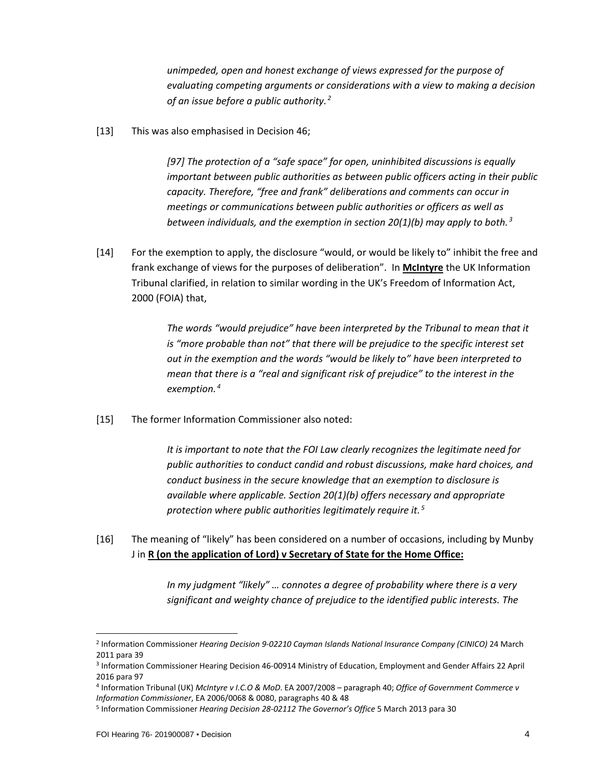*unimpeded, open and honest exchange of views expressed for the purpose of evaluating competing arguments or considerations with a view to making a decision of an issue before a public authority. [2](#page-3-0)*

[13] This was also emphasised in Decision 46;

*[97] The protection of a "safe space" for open, uninhibited discussions is equally important between public authorities as between public officers acting in their public capacity. Therefore, "free and frank" deliberations and comments can occur in meetings or communications between public authorities or officers as well as between individuals, and the exemption in section 20(1)(b) may apply to both. [3](#page-3-1)*

[14] For the exemption to apply, the disclosure "would, or would be likely to" inhibit the free and frank exchange of views for the purposes of deliberation". In **McIntyre** the UK Information Tribunal clarified, in relation to similar wording in the UK's Freedom of Information Act, 2000 (FOIA) that,

> *The words "would prejudice" have been interpreted by the Tribunal to mean that it*  is "more probable than not" that there will be prejudice to the specific interest set *out in the exemption and the words "would be likely to" have been interpreted to mean that there is a "real and significant risk of prejudice" to the interest in the exemption. [4](#page-3-2)*

[15] The former Information Commissioner also noted:

*It is important to note that the FOI Law clearly recognizes the legitimate need for public authorities to conduct candid and robust discussions, make hard choices, and conduct business in the secure knowledge that an exemption to disclosure is available where applicable. Section 20(1)(b) offers necessary and appropriate protection where public authorities legitimately require it. [5](#page-3-3)*

[16] The meaning of "likely" has been considered on a number of occasions, including by Munby J in **R (on the application of Lord) v Secretary of State for the Home Office:**

> *In my judgment "likely" … connotes a degree of probability where there is a very significant and weighty chance of prejudice to the identified public interests. The*

<span id="page-3-0"></span><sup>2</sup> Information Commissioner *Hearing Decision 9-02210 Cayman Islands National Insurance Company (CINICO)* 24 March 2011 para 39

<span id="page-3-1"></span><sup>3</sup> Information Commissioner Hearing Decision 46-00914 Ministry of Education, Employment and Gender Affairs 22 April 2016 para 97

<span id="page-3-2"></span><sup>4</sup> Information Tribunal (UK) *McIntyre v I.C.O & MoD*. EA 2007/2008 – paragraph 40; *Office of Government Commerce v Information Commissioner*, EA 2006/0068 & 0080, paragraphs 40 & 48

<span id="page-3-3"></span><sup>5</sup> Information Commissioner *Hearing Decision 28-02112 The Governor's Office* 5 March 2013 para 30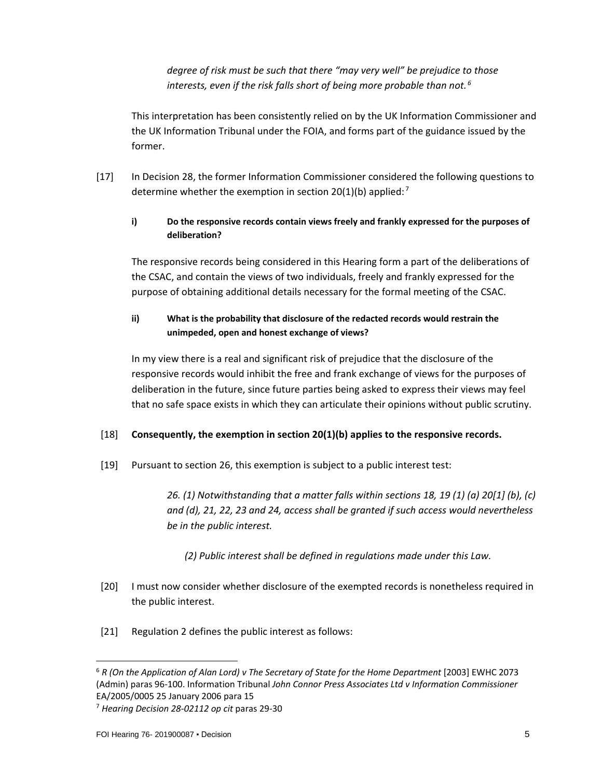*degree of risk must be such that there "may very well" be prejudice to those interests, even if the risk falls short of being more probable than not. [6](#page-4-0)*

This interpretation has been consistently relied on by the UK Information Commissioner and the UK Information Tribunal under the FOIA, and forms part of the guidance issued by the former.

[17] In Decision 28, the former Information Commissioner considered the following questions to determine whether the exemption in section 20(1)(b) applied:<sup>[7](#page-4-1)</sup>

## **i) Do the responsive records contain views freely and frankly expressed for the purposes of deliberation?**

The responsive records being considered in this Hearing form a part of the deliberations of the CSAC, and contain the views of two individuals, freely and frankly expressed for the purpose of obtaining additional details necessary for the formal meeting of the CSAC.

# **ii) What is the probability that disclosure of the redacted records would restrain the unimpeded, open and honest exchange of views?**

In my view there is a real and significant risk of prejudice that the disclosure of the responsive records would inhibit the free and frank exchange of views for the purposes of deliberation in the future, since future parties being asked to express their views may feel that no safe space exists in which they can articulate their opinions without public scrutiny.

## [18] **Consequently, the exemption in section 20(1)(b) applies to the responsive records.**

[19] Pursuant to section 26, this exemption is subject to a public interest test:

*26. (1) Notwithstanding that a matter falls within sections 18, 19 (1) (a) 20[1] (b), (c) and (d), 21, 22, 23 and 24, access shall be granted if such access would nevertheless be in the public interest.* 

## *(2) Public interest shall be defined in regulations made under this Law.*

- [20] I must now consider whether disclosure of the exempted records is nonetheless required in the public interest.
- [21] Regulation 2 defines the public interest as follows:

<span id="page-4-0"></span><sup>6</sup> *R (On the Application of Alan Lord) v The Secretary of State for the Home Department* [2003] EWHC 2073 (Admin) paras 96-100. Information Tribunal *John Connor Press Associates Ltd v Information Commissioner*

<span id="page-4-1"></span>EA/2005/0005 25 January 2006 para 15 7 *Hearing Decision 28-02112 op cit* paras 29-30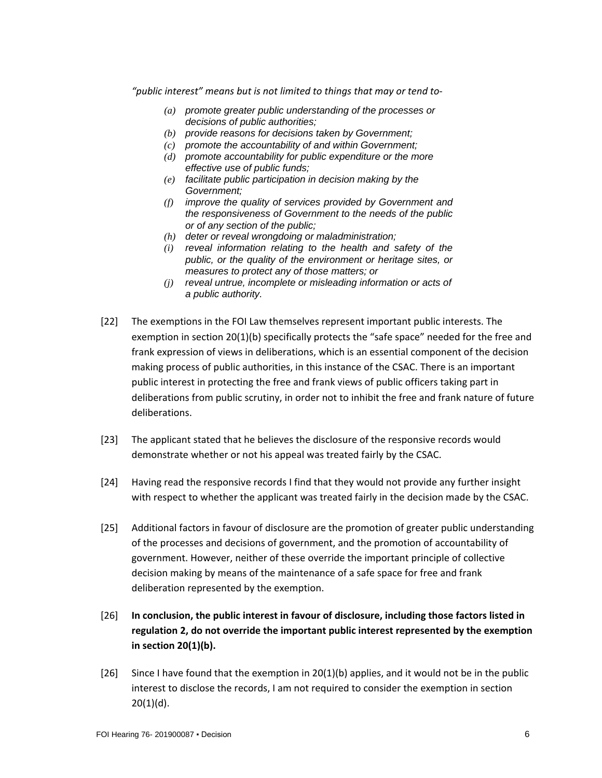*"public interest" means but is not limited to things that may or tend to-*

- *(a) promote greater public understanding of the processes or decisions of public authorities;*
- *(b) provide reasons for decisions taken by Government;*
- *(c) promote the accountability of and within Government;*
- *(d) promote accountability for public expenditure or the more effective use of public funds;*
- *(e) facilitate public participation in decision making by the Government;*
- *(f) improve the quality of services provided by Government and the responsiveness of Government to the needs of the public or of any section of the public;*
- *(h) deter or reveal wrongdoing or maladministration;*
- *(i) reveal information relating to the health and safety of the public, or the quality of the environment or heritage sites, or measures to protect any of those matters; or*
- *(j) reveal untrue, incomplete or misleading information or acts of a public authority.*
- [22] The exemptions in the FOI Law themselves represent important public interests. The exemption in section 20(1)(b) specifically protects the "safe space" needed for the free and frank expression of views in deliberations, which is an essential component of the decision making process of public authorities, in this instance of the CSAC. There is an important public interest in protecting the free and frank views of public officers taking part in deliberations from public scrutiny, in order not to inhibit the free and frank nature of future deliberations.
- [23] The applicant stated that he believes the disclosure of the responsive records would demonstrate whether or not his appeal was treated fairly by the CSAC.
- [24] Having read the responsive records I find that they would not provide any further insight with respect to whether the applicant was treated fairly in the decision made by the CSAC.
- [25] Additional factors in favour of disclosure are the promotion of greater public understanding of the processes and decisions of government, and the promotion of accountability of government. However, neither of these override the important principle of collective decision making by means of the maintenance of a safe space for free and frank deliberation represented by the exemption.
- [26] **In conclusion, the public interest in favour of disclosure, including those factors listed in regulation 2, do not override the important public interest represented by the exemption in section 20(1)(b).**
- [26] Since I have found that the exemption in 20(1)(b) applies, and it would not be in the public interest to disclose the records, I am not required to consider the exemption in section 20(1)(d).